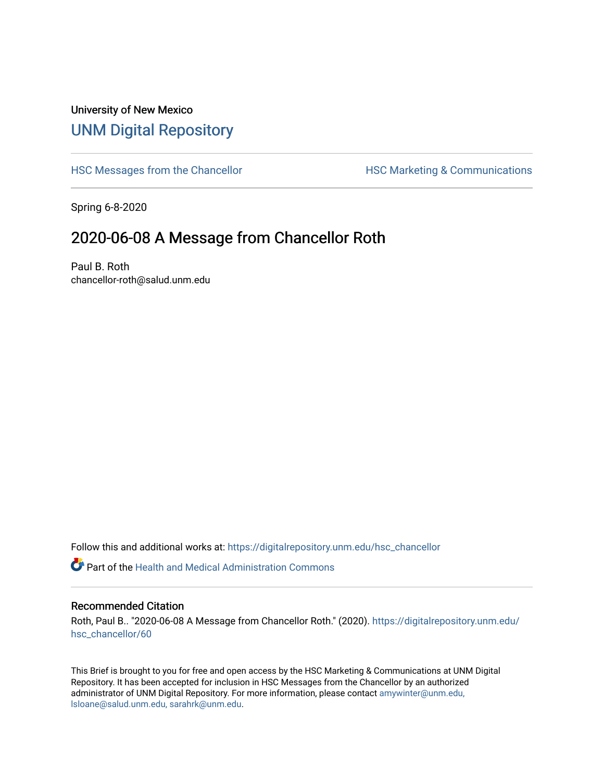## University of New Mexico [UNM Digital Repository](https://digitalrepository.unm.edu/)

[HSC Messages from the Chancellor](https://digitalrepository.unm.edu/hsc_chancellor) **HSC Marketing & Communications** 

Spring 6-8-2020

## 2020-06-08 A Message from Chancellor Roth

Paul B. Roth chancellor-roth@salud.unm.edu

Follow this and additional works at: [https://digitalrepository.unm.edu/hsc\\_chancellor](https://digitalrepository.unm.edu/hsc_chancellor?utm_source=digitalrepository.unm.edu%2Fhsc_chancellor%2F60&utm_medium=PDF&utm_campaign=PDFCoverPages) 

 $\bullet$  Part of the [Health and Medical Administration Commons](http://network.bepress.com/hgg/discipline/663?utm_source=digitalrepository.unm.edu%2Fhsc_chancellor%2F60&utm_medium=PDF&utm_campaign=PDFCoverPages)

## Recommended Citation

Roth, Paul B.. "2020-06-08 A Message from Chancellor Roth." (2020). [https://digitalrepository.unm.edu/](https://digitalrepository.unm.edu/hsc_chancellor/60?utm_source=digitalrepository.unm.edu%2Fhsc_chancellor%2F60&utm_medium=PDF&utm_campaign=PDFCoverPages) [hsc\\_chancellor/60](https://digitalrepository.unm.edu/hsc_chancellor/60?utm_source=digitalrepository.unm.edu%2Fhsc_chancellor%2F60&utm_medium=PDF&utm_campaign=PDFCoverPages) 

This Brief is brought to you for free and open access by the HSC Marketing & Communications at UNM Digital Repository. It has been accepted for inclusion in HSC Messages from the Chancellor by an authorized administrator of UNM Digital Repository. For more information, please contact [amywinter@unm.edu,](mailto:amywinter@unm.edu,%20lsloane@salud.unm.edu,%20sarahrk@unm.edu) [lsloane@salud.unm.edu, sarahrk@unm.edu.](mailto:amywinter@unm.edu,%20lsloane@salud.unm.edu,%20sarahrk@unm.edu)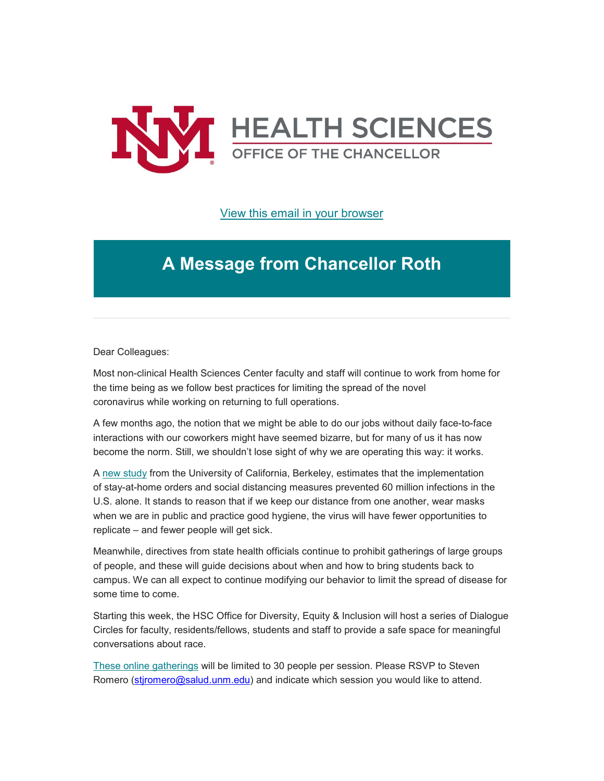

[View this email in your browser](https://mailchi.mp/899471726de0/message-from-the-chancellor-coronavirus-4432296?e=b4bbfca2c0)

## **A Message from Chancellor Roth**

Dear Colleagues:

Most non-clinical Health Sciences Center faculty and staff will continue to work from home for the time being as we follow best practices for limiting the spread of the novel coronavirus while working on returning to full operations.

A few months ago, the notion that we might be able to do our jobs without daily face-to-face interactions with our coworkers might have seemed bizarre, but for many of us it has now become the norm. Still, we shouldn't lose sight of why we are operating this way: it works.

A new [study](https://unm.us19.list-manage.com/track/click?u=59ce53c1a4dedb490bac78648&id=32701ea454&e=b4bbfca2c0) from the University of California, Berkeley, estimates that the implementation of stay-at-home orders and social distancing measures prevented 60 million infections in the U.S. alone. It stands to reason that if we keep our distance from one another, wear masks when we are in public and practice good hygiene, the virus will have fewer opportunities to replicate – and fewer people will get sick.

Meanwhile, directives from state health officials continue to prohibit gatherings of large groups of people, and these will guide decisions about when and how to bring students back to campus. We can all expect to continue modifying our behavior to limit the spread of disease for some time to come.

Starting this week, the HSC Office for Diversity, Equity & Inclusion will host a series of Dialogue Circles for faculty, residents/fellows, students and staff to provide a safe space for meaningful conversations about race.

These online [gatherings](https://unm.us19.list-manage.com/track/click?u=59ce53c1a4dedb490bac78648&id=d6817699d0&e=b4bbfca2c0) will be limited to 30 people per session. Please RSVP to Steven Romero [\(stjromero@salud.unm.edu\)](mailto:stjromero@salud.unm.edu) and indicate which session you would like to attend.